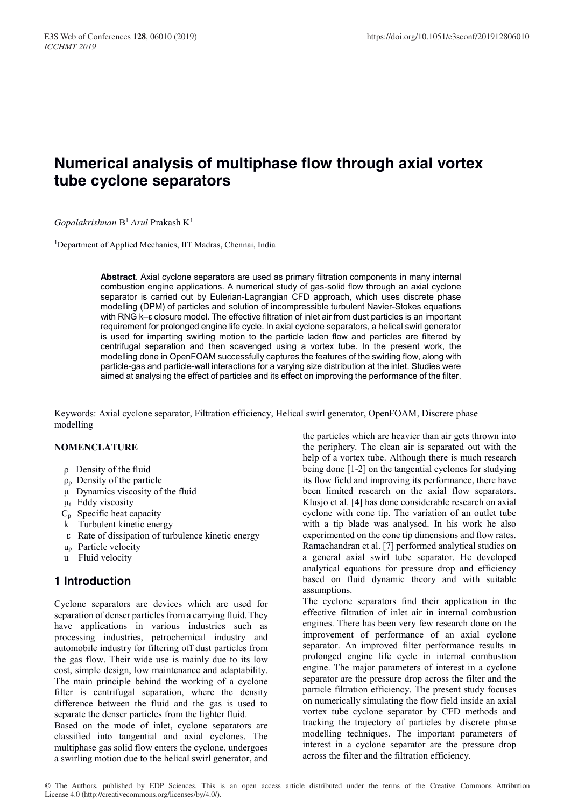# **Numerical analysis of multiphase flow through axial vortex tube cyclone separators**

*Gopalakrishnan* B1 *Arul* Prakash K1

<sup>1</sup>Department of Applied Mechanics, IIT Madras, Chennai, India

**Abstract**. Axial cyclone separators are used as primary filtration components in many internal combustion engine applications. A numerical study of gas-solid flow through an axial cyclone separator is carried out by Eulerian-Lagrangian CFD approach, which uses discrete phase modelling (DPM) of particles and solution of incompressible turbulent Navier-Stokes equations with RNG k–ε closure model. The effective filtration of inlet air from dust particles is an important requirement for prolonged engine life cycle. In axial cyclone separators, a helical swirl generator is used for imparting swirling motion to the particle laden flow and particles are filtered by centrifugal separation and then scavenged using a vortex tube. In the present work, the modelling done in OpenFOAM successfully captures the features of the swirling flow, along with particle-gas and particle-wall interactions for a varying size distribution at the inlet. Studies were aimed at analysing the effect of particles and its effect on improving the performance of the filter.

Keywords: Axial cyclone separator, Filtration efficiency, Helical swirl generator, OpenFOAM, Discrete phase modelling

### **NOMENCLATURE**

- ρ Density of the fluid
- $\rho_p$  Density of the particle
- μ Dynamics viscosity of the fluid
- $\mu_t$  Eddy viscosity
- $C_p$  Specific heat capacity
- k Turbulent kinetic energy
- ε Rate of dissipation of turbulence kinetic energy
- up Particle velocity
- u Fluid velocity

# **1 Introduction**

Cyclone separators are devices which are used for separation of denser particles from a carrying fluid. They have applications in various industries such as processing industries, petrochemical industry and automobile industry for filtering off dust particles from the gas flow. Their wide use is mainly due to its low cost, simple design, low maintenance and adaptability. The main principle behind the working of a cyclone filter is centrifugal separation, where the density difference between the fluid and the gas is used to separate the denser particles from the lighter fluid.

Based on the mode of inlet, cyclone separators are classified into tangential and axial cyclones. The multiphase gas solid flow enters the cyclone, undergoes a swirling motion due to the helical swirl generator, and the particles which are heavier than air gets thrown into the periphery. The clean air is separated out with the help of a vortex tube. Although there is much research being done [1-2] on the tangential cyclones for studying its flow field and improving its performance, there have been limited research on the axial flow separators. Klusjo et al. [4] has done considerable research on axial cyclone with cone tip. The variation of an outlet tube with a tip blade was analysed. In his work he also experimented on the cone tip dimensions and flow rates. Ramachandran et al. [7] performed analytical studies on a general axial swirl tube separator. He developed analytical equations for pressure drop and efficiency based on fluid dynamic theory and with suitable assumptions.

The cyclone separators find their application in the effective filtration of inlet air in internal combustion engines. There has been very few research done on the improvement of performance of an axial cyclone separator. An improved filter performance results in prolonged engine life cycle in internal combustion engine. The major parameters of interest in a cyclone separator are the pressure drop across the filter and the particle filtration efficiency. The present study focuses on numerically simulating the flow field inside an axial vortex tube cyclone separator by CFD methods and tracking the trajectory of particles by discrete phase modelling techniques. The important parameters of interest in a cyclone separator are the pressure drop across the filter and the filtration efficiency.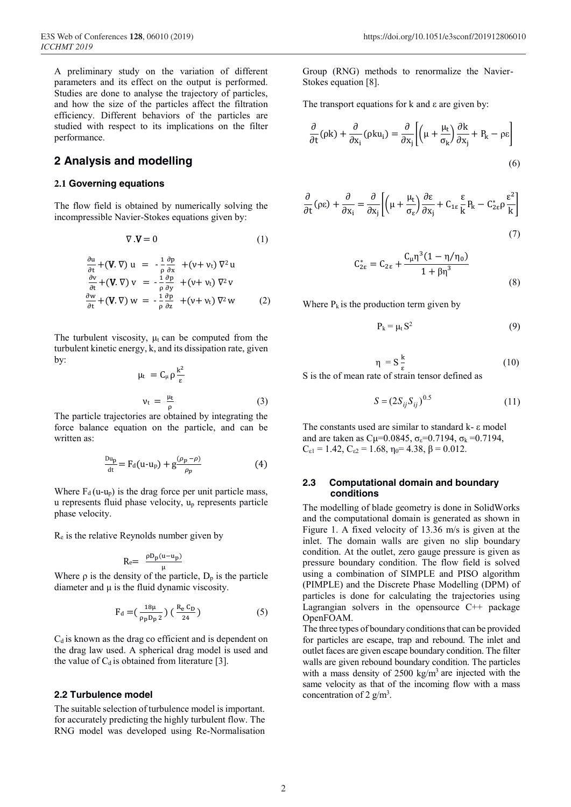A preliminary study on the variation of different parameters and its effect on the output is performed. Studies are done to analyse the trajectory of particles, and how the size of the particles affect the filtration efficiency. Different behaviors of the particles are studied with respect to its implications on the filter performance.

### **2 Analysis and modelling**

### **2.1 Governing equations**

The flow field is obtained by numerically solving the incompressible Navier-Stokes equations given by:

$$
\nabla \cdot \mathbf{V} = 0 \tag{1}
$$

$$
\frac{\partial u}{\partial t} + (\mathbf{V} \cdot \nabla) u = -\frac{1}{\rho} \frac{\partial p}{\partial x} + (v + v_t) \nabla^2 u
$$
  

$$
\frac{\partial v}{\partial t} + (\mathbf{V} \cdot \nabla) v = -\frac{1}{\rho} \frac{\partial p}{\partial y} + (v + v_t) \nabla^2 v
$$
  

$$
\frac{\partial w}{\partial t} + (\mathbf{V} \cdot \nabla) w = -\frac{1}{\rho} \frac{\partial p}{\partial z} + (v + v_t) \nabla^2 w
$$
 (2)

The turbulent viscosity,  $\mu_t$  can be computed from the turbulent kinetic energy, k, and its dissipation rate, given by:

$$
\mu_{t} = C_{\mu} \rho \frac{k^{2}}{\varepsilon}
$$
  

$$
v_{t} = \frac{\mu_{t}}{\rho}
$$
 (3)

The particle trajectories are obtained by integrating the force balance equation on the particle, and can be written as:

$$
\frac{\mathrm{D} \mathrm{u}_{\mathrm{p}}}{\mathrm{d} \mathrm{t}} = \mathrm{F}_{\mathrm{d}}(\mathrm{u} \cdot \mathrm{u}_{\mathrm{p}}) + \mathrm{g} \frac{(\rho_{p} - \rho)}{\rho_{p}} \tag{4}
$$

Where  $F_d$  (u-u<sub>p</sub>) is the drag force per unit particle mass, u represents fluid phase velocity, up represents particle phase velocity.

Re is the relative Reynolds number given by

$$
R_e = \frac{\rho D_p(u-u_p)}{u}
$$

Where  $\rho$  is the density of the particle,  $D_p$  is the particle diameter and  $\mu$  is the fluid dynamic viscosity.

$$
F_d = (\frac{18\mu}{\rho_p D_p 2}) (\frac{R_e C_D}{24})
$$
 (5)

 $C_d$  is known as the drag co efficient and is dependent on the drag law used. A spherical drag model is used and the value of  $C_d$  is obtained from literature [3].

### **2.2 Turbulence model**

The suitable selection of turbulence model is important. for accurately predicting the highly turbulent flow. The RNG model was developed using Re-Normalisation Group (RNG) methods to renormalize the Navier-Stokes equation [8].

The transport equations for  $k$  and  $\varepsilon$  are given by:

$$
\frac{\partial}{\partial t}(\rho k) + \frac{\partial}{\partial x_i}(\rho k u_i) = \frac{\partial}{\partial x_j} \left[ \left( \mu + \frac{\mu_t}{\sigma_k} \right) \frac{\partial k}{\partial x_j} + P_k - \rho \varepsilon \right]
$$
\n(6)

$$
\frac{\partial}{\partial t}(\rho \varepsilon) + \frac{\partial}{\partial x_i} = \frac{\partial}{\partial x_j} \left[ \left( \mu + \frac{\mu_t}{\sigma_{\varepsilon}} \right) \frac{\partial \varepsilon}{\partial x_j} + C_{1\varepsilon} \frac{\varepsilon}{k} P_k - C_{2\varepsilon}^* \rho \frac{\varepsilon^2}{k} \right] \tag{7}
$$

$$
C_{2\epsilon}^* = C_{2\epsilon} + \frac{C_\mu \eta^3 (1 - \eta/\eta_0)}{1 + \beta \eta^3}
$$
\n(8)

Where  $P_k$  is the production term given by

$$
P_k = \mu_t S^2 \tag{9}
$$

$$
\eta = S \frac{k}{\epsilon} \tag{10}
$$

S is the of mean rate of strain tensor defined as

$$
S = (2S_{ij}S_{ij})^{0.5}
$$
 (11)

The constants used are similar to standard k- ε model and are taken as  $Cu=0.0845$ ,  $\sigma_{\epsilon}=0.7194$ ,  $\sigma_{\epsilon}=0.7194$ ,  $C_{\epsilon 1} = 1.42$ ,  $C_{\epsilon 2} = 1.68$ ,  $\eta_0 = 4.38$ ,  $\beta = 0.012$ .

### **2.3 Computational domain and boundary conditions**

The modelling of blade geometry is done in SolidWorks and the computational domain is generated as shown in Figure 1. A fixed velocity of 13.36 m/s is given at the inlet. The domain walls are given no slip boundary condition. At the outlet, zero gauge pressure is given as pressure boundary condition. The flow field is solved using a combination of SIMPLE and PISO algorithm (PIMPLE) and the Discrete Phase Modelling (DPM) of particles is done for calculating the trajectories using Lagrangian solvers in the opensource  $C^{++}$  package OpenFOAM.

The three types of boundary conditions that can be provided for particles are escape, trap and rebound. The inlet and outlet faces are given escape boundary condition. The filter walls are given rebound boundary condition. The particles with a mass density of  $2500 \text{ kg/m}^3$  are injected with the same velocity as that of the incoming flow with a mass concentration of 2  $g/m<sup>3</sup>$ .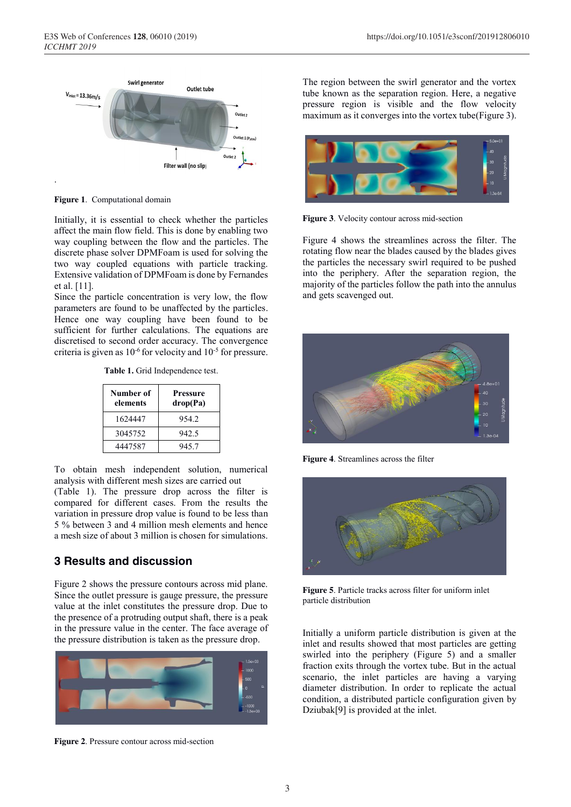

**Figure 1**. Computational domain

Initially, it is essential to check whether the particles affect the main flow field. This is done by enabling two way coupling between the flow and the particles. The discrete phase solver DPMFoam is used for solving the two way coupled equations with particle tracking. Extensive validation of DPMFoam is done by Fernandes et al. [11].

Since the particle concentration is very low, the flow parameters are found to be unaffected by the particles. Hence one way coupling have been found to be sufficient for further calculations. The equations are discretised to second order accuracy. The convergence criteria is given as  $10^{-6}$  for velocity and  $10^{-5}$  for pressure.

**Table 1.** Grid Independence test.

| Number of<br>elements | <b>Pressure</b><br>drop(Pa) |
|-----------------------|-----------------------------|
| 1624447               | 954.2                       |
| 3045752               | 942.5                       |
| 4447587               | 945.7                       |

To obtain mesh independent solution, numerical analysis with different mesh sizes are carried out (Table 1). The pressure drop across the filter is compared for different cases. From the results the variation in pressure drop value is found to be less than 5 % between 3 and 4 million mesh elements and hence a mesh size of about 3 million is chosen for simulations.

# **3 Results and discussion**

Figure 2 shows the pressure contours across mid plane. Since the outlet pressure is gauge pressure, the pressure value at the inlet constitutes the pressure drop. Due to the presence of a protruding output shaft, there is a peak in the pressure value in the center. The face average of the pressure distribution is taken as the pressure drop.



**Figure 2**. Pressure contour across mid-section

The region between the swirl generator and the vortex tube known as the separation region. Here, a negative pressure region is visible and the flow velocity maximum as it converges into the vortex tube(Figure 3).



**Figure 3**. Velocity contour across mid-section

Figure 4 shows the streamlines across the filter. The rotating flow near the blades caused by the blades gives the particles the necessary swirl required to be pushed into the periphery. After the separation region, the majority of the particles follow the path into the annulus and gets scavenged out.



**Figure 4**. Streamlines across the filter



**Figure 5**. Particle tracks across filter for uniform inlet particle distribution

Initially a uniform particle distribution is given at the inlet and results showed that most particles are getting swirled into the periphery (Figure 5) and a smaller fraction exits through the vortex tube. But in the actual scenario, the inlet particles are having a varying diameter distribution. In order to replicate the actual condition, a distributed particle configuration given by Dziubak<sup>[9]</sup> is provided at the inlet.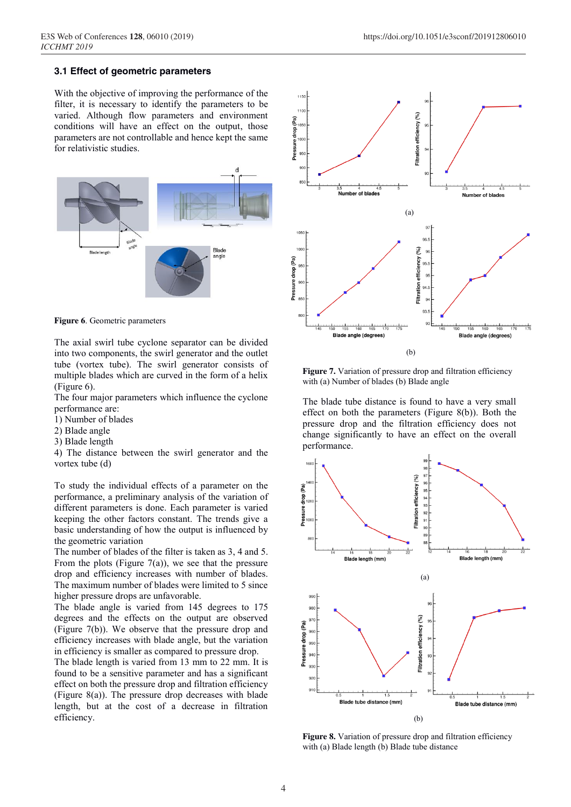#### **3.1 Effect of geometric parameters**

With the objective of improving the performance of the filter, it is necessary to identify the parameters to be varied. Although flow parameters and environment conditions will have an effect on the output, those parameters are not controllable and hence kept the same for relativistic studies.





The axial swirl tube cyclone separator can be divided into two components, the swirl generator and the outlet tube (vortex tube). The swirl generator consists of multiple blades which are curved in the form of a helix (Figure 6).

The four major parameters which influence the cyclone performance are:

- 1) Number of blades
- 2) Blade angle
- 3) Blade length

4) The distance between the swirl generator and the vortex tube (d)

To study the individual effects of a parameter on the performance, a preliminary analysis of the variation of different parameters is done. Each parameter is varied keeping the other factors constant. The trends give a basic understanding of how the output is influenced by the geometric variation

The number of blades of the filter is taken as 3, 4 and 5. From the plots (Figure 7(a)), we see that the pressure drop and efficiency increases with number of blades. The maximum number of blades were limited to 5 since higher pressure drops are unfavorable.

The blade angle is varied from 145 degrees to 175 degrees and the effects on the output are observed (Figure 7(b)). We observe that the pressure drop and efficiency increases with blade angle, but the variation in efficiency is smaller as compared to pressure drop.

The blade length is varied from 13 mm to 22 mm. It is found to be a sensitive parameter and has a significant effect on both the pressure drop and filtration efficiency (Figure 8(a)). The pressure drop decreases with blade length, but at the cost of a decrease in filtration efficiency.



**Figure 7.** Variation of pressure drop and filtration efficiency with (a) Number of blades (b) Blade angle

The blade tube distance is found to have a very small effect on both the parameters (Figure 8(b)). Both the pressure drop and the filtration efficiency does not change significantly to have an effect on the overall performance.



**Figure 8.** Variation of pressure drop and filtration efficiency with (a) Blade length (b) Blade tube distance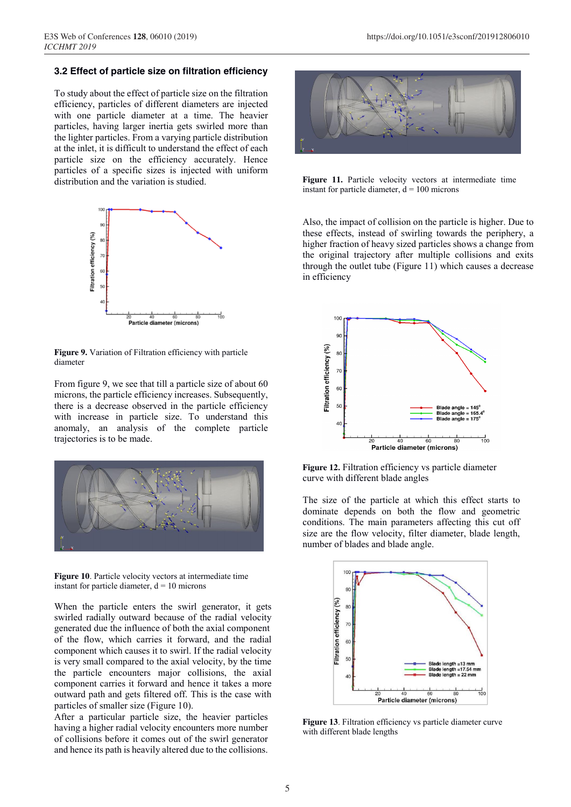#### **3.2 Effect of particle size on filtration efficiency**

To study about the effect of particle size on the filtration efficiency, particles of different diameters are injected with one particle diameter at a time. The heavier particles, having larger inertia gets swirled more than the lighter particles. From a varying particle distribution at the inlet, it is difficult to understand the effect of each particle size on the efficiency accurately. Hence particles of a specific sizes is injected with uniform distribution and the variation is studied.



**Figure 9.** Variation of Filtration efficiency with particle diameter

From figure 9, we see that till a particle size of about 60 microns, the particle efficiency increases. Subsequently, there is a decrease observed in the particle efficiency with increase in particle size. To understand this anomaly, an analysis of the complete particle trajectories is to be made.



**Figure 10**. Particle velocity vectors at intermediate time instant for particle diameter,  $d = 10$  microns

When the particle enters the swirl generator, it gets swirled radially outward because of the radial velocity generated due the influence of both the axial component of the flow, which carries it forward, and the radial component which causes it to swirl. If the radial velocity is very small compared to the axial velocity, by the time the particle encounters major collisions, the axial component carries it forward and hence it takes a more outward path and gets filtered off. This is the case with particles of smaller size (Figure 10).

After a particular particle size, the heavier particles having a higher radial velocity encounters more number of collisions before it comes out of the swirl generator and hence its path is heavily altered due to the collisions.



**Figure 11.** Particle velocity vectors at intermediate time instant for particle diameter,  $d = 100$  microns

Also, the impact of collision on the particle is higher. Due to these effects, instead of swirling towards the periphery, a higher fraction of heavy sized particles shows a change from the original trajectory after multiple collisions and exits through the outlet tube (Figure 11) which causes a decrease in efficiency



**Figure 12.** Filtration efficiency vs particle diameter curve with different blade angles

The size of the particle at which this effect starts to dominate depends on both the flow and geometric conditions. The main parameters affecting this cut off size are the flow velocity, filter diameter, blade length, number of blades and blade angle.



**Figure 13**. Filtration efficiency vs particle diameter curve with different blade lengths